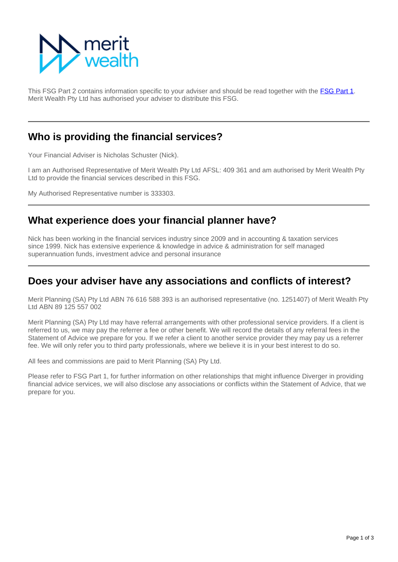

This FSG Part 2 contains information specific to your adviser and should be read together with the [FSG Part 1](https://info.eastonwealth.com.au/FinancialServicesGuide). Merit Wealth Pty Ltd has authorised your adviser to distribute this FSG.

### **Who is providing the financial services?**

Your Financial Adviser is Nicholas Schuster (Nick).

I am an Authorised Representative of Merit Wealth Pty Ltd AFSL: 409 361 and am authorised by Merit Wealth Pty Ltd to provide the financial services described in this FSG.

My Authorised Representative number is 333303.

### **What experience does your financial planner have?**

Nick has been working in the financial services industry since 2009 and in accounting & taxation services since 1999. Nick has extensive experience & knowledge in advice & administration for self managed superannuation funds, investment advice and personal insurance

#### **Does your adviser have any associations and conflicts of interest?**

Merit Planning (SA) Pty Ltd ABN 76 616 588 393 is an authorised representative (no. 1251407) of Merit Wealth Pty Ltd ABN 89 125 557 002

Merit Planning (SA) Pty Ltd may have referral arrangements with other professional service providers. If a client is referred to us, we may pay the referrer a fee or other benefit. We will record the details of any referral fees in the Statement of Advice we prepare for you. If we refer a client to another service provider they may pay us a referrer fee. We will only refer you to third party professionals, where we believe it is in your best interest to do so.

All fees and commissions are paid to Merit Planning (SA) Pty Ltd.

Please refer to FSG Part 1, for further information on other relationships that might influence Diverger in providing financial advice services, we will also disclose any associations or conflicts within the Statement of Advice, that we prepare for you.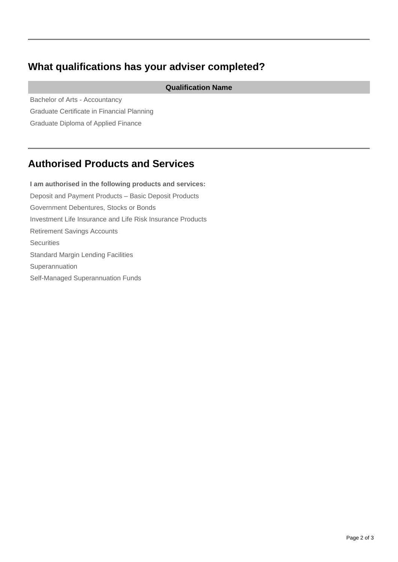# **What qualifications has your adviser completed?**

**Qualification Name**

Bachelor of Arts - Accountancy Graduate Certificate in Financial Planning Graduate Diploma of Applied Finance

# **Authorised Products and Services**

**I am authorised in the following products and services:** Deposit and Payment Products – Basic Deposit Products Government Debentures, Stocks or Bonds Investment Life Insurance and Life Risk Insurance Products Retirement Savings Accounts **Securities** Standard Margin Lending Facilities Superannuation Self-Managed Superannuation Funds